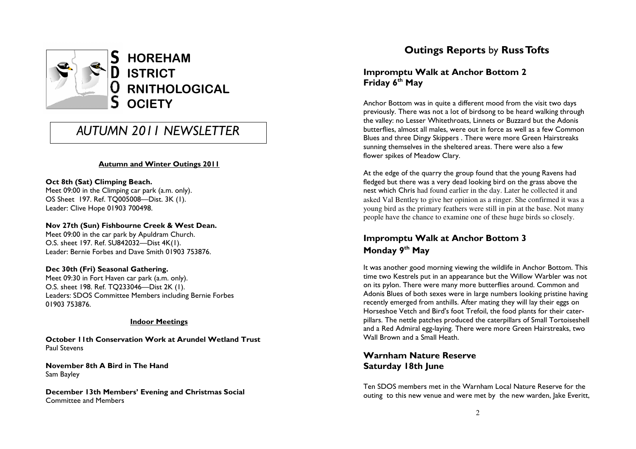

# AUTUMN 2011 NEWSLETTER

#### Autumn and Winter Outings 2011

#### Oct 8th (Sat) Climping Beach.

 Meet 09:00 in the Climping car park (a.m. only). OS Sheet 197. Ref. TQ005008—Dist. 3K (1). Leader: Clive Hope 01903 700498.

#### Nov 27th (Sun) Fishbourne Creek & West Dean.

Meet 09:00 in the car park by Apuldram Church. O.S. sheet 197. Ref. SU842032—Dist 4K(1). Leader: Bernie Forbes and Dave Smith 01903 753876.

#### Dec 30th (Fri) Seasonal Gathering.

 Meet 09:30 in Fort Haven car park (a.m. only). O.S. sheet 198. Ref. TQ233046—Dist 2K (1). Leaders: SDOS Committee Members including Bernie Forbes 01903 753876.

#### Indoor Meetings

October 11th Conservation Work at Arundel Wetland Trust Paul Stevens

November 8th A Bird in The Hand Sam Bayley

December 13th Members' Evening and Christmas SocialCommittee and Members

## Outings Reports by Russ Tofts

### Impromptu Walk at Anchor Bottom 2 Friday 6<sup>th</sup> May

Anchor Bottom was in quite a different mood from the visit two days previously. There was not a lot of birdsong to be heard walking through the valley: no Lesser Whitethroats, Linnets or Buzzard but the Adonis butterflies, almost all males, were out in force as well as a few Common Blues and three Dingy Skippers . There were more Green Hairstreaks sunning themselves in the sheltered areas. There were also a few flower spikes of Meadow Clary.

At the edge of the quarry the group found that the young Ravens had fledged but there was a very dead looking bird on the grass above the nest which Chris had found earlier in the day. Later he collected it and asked Val Bentley to give her opinion as a ringer. She confirmed it was a young bird as the primary feathers were still in pin at the base. Not many people have the chance to examine one of these huge birds so closely.

### Impromptu Walk at Anchor Bottom 3 Monday 9<sup>th</sup> May

It was another good morning viewing the wildlife in Anchor Bottom. This time two Kestrels put in an appearance but the Willow Warbler was not on its pylon. There were many more butterflies around. Common and Adonis Blues of both sexes were in large numbers looking pristine having recently emerged from anthills. After mating they will lay their eggs on Horseshoe Vetch and Bird's foot Trefoil, the food plants for their caterpillars. The nettle patches produced the caterpillars of Small Tortoiseshell and a Red Admiral egg-laying. There were more Green Hairstreaks, two Wall Brown and a Small Heath.

### Warnham Nature Reserve Saturday 18th June

Ten SDOS members met in the Warnham Local Nature Reserve for the outing to this new venue and were met by the new warden, Jake Everitt,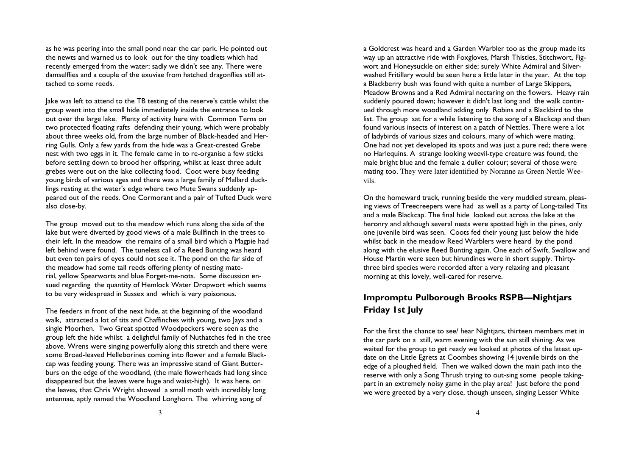as he was peering into the small pond near the car park. He pointed out the newts and warned us to look out for the tiny toadlets which had recently emerged from the water; sadly we didn't see any. There were damselflies and a couple of the exuviae from hatched dragonflies still attached to some reeds.

Jake was left to attend to the TB testing of the reserve's cattle whilst the group went into the small hide immediately inside the entrance to look out over the large lake. Plenty of activity here with Common Terns on two protected floating rafts defending their young, which were probably about three weeks old, from the large number of Black-headed and Herring Gulls. Only a few yards from the hide was a Great-crested Grebe nest with two eggs in it. The female came in to re-organise a few sticks before settling down to brood her offspring, whilst at least three adult grebes were out on the lake collecting food. Coot were busy feeding young birds of various ages and there was a large family of Mallard ducklings resting at the water's edge where two Mute Swans suddenly appeared out of the reeds. One Cormorant and a pair of Tufted Duck were also close-by.

The group moved out to the meadow which runs along the side of the lake but were diverted by good views of a male Bullfinch in the trees to their left. In the meadow the remains of a small bird which a Magpie had left behind were found. The tuneless call of a Reed Bunting was heard but even ten pairs of eyes could not see it. The pond on the far side of the meadow had some tall reeds offering plenty of nesting material, yellow Spearworts and blue Forget-me-nots. Some discussion ensued regarding the quantity of Hemlock Water Dropwort which seems to be very widespread in Sussex and which is very poisonous.

The feeders in front of the next hide, at the beginning of the woodland walk, attracted a lot of tits and Chaffinches with young, two Jays and a single Moorhen. Two Great spotted Woodpeckers were seen as the group left the hide whilst a delightful family of Nuthatches fed in the tree above. Wrens were singing powerfully along this stretch and there were some Broad-leaved Helleborines coming into flower and a female Blackcap was feeding young. There was an impressive stand of Giant Butterburs on the edge of the woodland, (the male flowerheads had long since disappeared but the leaves were huge and waist-high). It was here, on the leaves, that Chris Wright showed a small moth with incredibly long antennae, aptly named the Woodland Longhorn. The whirring song of

a Goldcrest was heard and a Garden Warbler too as the group made its way up an attractive ride with Foxgloves, Marsh Thistles, Stitchwort, Figwort and Honeysuckle on either side; surely White Admiral and Silverwashed Fritillary would be seen here a little later in the year. At the top a Blackberry bush was found with quite a number of Large Skippers, Meadow Browns and a Red Admiral nectaring on the flowers. Heavy rain suddenly poured down; however it didn't last long and the walk continued through more woodland adding only Robins and a Blackbird to the list. The group sat for a while listening to the song of a Blackcap and then found various insects of interest on a patch of Nettles. There were a lot of ladybirds of various sizes and colours, many of which were mating. One had not yet developed its spots and was just a pure red; there were no Harlequins. A strange looking weevil-type creature was found, the male bright blue and the female a duller colour; several of those were mating too. They were later identified by Noranne as Green Nettle Weevils.

On the homeward track, running beside the very muddied stream, pleasing views of Treecreepers were had as well as a party of Long-tailed Tits and a male Blackcap. The final hide looked out across the lake at the heronry and although several nests were spotted high in the pines, only one juvenile bird was seen. Coots fed their young just below the hide whilst back in the meadow Reed Warblers were heard by the pond along with the elusive Reed Bunting again. One each of Swift, Swallow and House Martin were seen but hirundines were in short supply. Thirtythree bird species were recorded after a very relaxing and pleasant morning at this lovely, well-cared for reserve.

### Impromptu Pulborough Brooks RSPB—Nightjars Friday 1st July

For the first the chance to see/ hear Nightjars, thirteen members met in the car park on a still, warm evening with the sun still shining. As we waited for the group to get ready we looked at photos of the latest update on the Little Egrets at Coombes showing 14 juvenile birds on the edge of a ploughed field. Then we walked down the main path into the reserve with only a Song Thrush trying to out-sing some people takingpart in an extremely noisy game in the play area! Just before the pond we were greeted by a very close, though unseen, singing Lesser White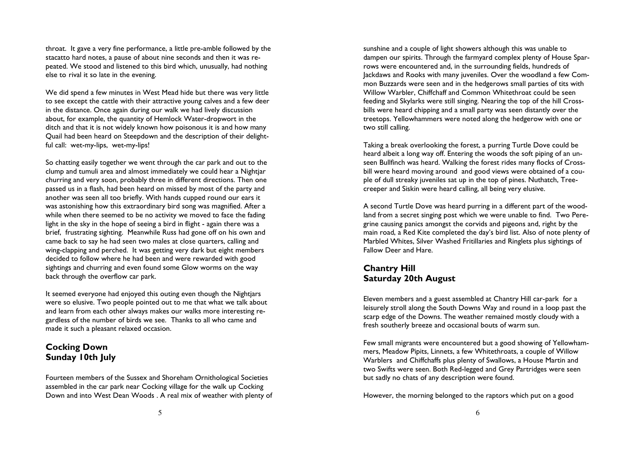throat. It gave a very fine performance, a little pre-amble followed by the stacatto hard notes, a pause of about nine seconds and then it was repeated. We stood and listened to this bird which, unusually, had nothing else to rival it so late in the evening.

We did spend a few minutes in West Mead hide but there was very little to see except the cattle with their attractive young calves and a few deer in the distance. Once again during our walk we had lively discussion about, for example, the quantity of Hemlock Water-dropwort in the ditch and that it is not widely known how poisonous it is and how many Quail had been heard on Steepdown and the description of their delightful call: wet-my-lips, wet-my-lips!

So chatting easily together we went through the car park and out to the clump and tumuli area and almost immediately we could hear a Nightjar churring and very soon, probably three in different directions. Then one passed us in a flash, had been heard on missed by most of the party and another was seen all too briefly. With hands cupped round our ears it was astonishing how this extraordinary bird song was magnified. After a while when there seemed to be no activity we moved to face the fading light in the sky in the hope of seeing a bird in flight - again there was a brief, frustrating sighting. Meanwhile Russ had gone off on his own and came back to say he had seen two males at close quarters, calling and wing-clapping and perched. It was getting very dark but eight members decided to follow where he had been and were rewarded with good sightings and churring and even found some Glow worms on the way back through the overflow car park.

It seemed everyone had enjoyed this outing even though the Nightjars were so elusive. Two people pointed out to me that what we talk about and learn from each other always makes our walks more interesting regardless of the number of birds we see. Thanks to all who came and made it such a pleasant relaxed occasion.

### Cocking Down Sunday 10th July

Fourteen members of the Sussex and Shoreham Ornithological Societies assembled in the car park near Cocking village for the walk up Cocking Down and into West Dean Woods . A real mix of weather with plenty of

sunshine and a couple of light showers although this was unable to dampen our spirits. Through the farmyard complex plenty of House Sparrows were encountered and, in the surrounding fields, hundreds of Jackdaws and Rooks with many juveniles. Over the woodland a few Common Buzzards were seen and in the hedgerows small parties of tits with Willow Warbler, Chiffchaff and Common Whitethroat could be seen feeding and Skylarks were still singing. Nearing the top of the hill Crossbills were heard chipping and a small party was seen distantly over the treetops. Yellowhammers were noted along the hedgerow with one or two still calling.

Taking a break overlooking the forest, a purring Turtle Dove could be heard albeit a long way off. Entering the woods the soft piping of an unseen Bullfinch was heard. Walking the forest rides many flocks of Crossbill were heard moving around and good views were obtained of a couple of dull streaky juveniles sat up in the top of pines. Nuthatch, Treecreeper and Siskin were heard calling, all being very elusive.

A second Turtle Dove was heard purring in a different part of the woodland from a secret singing post which we were unable to find. Two Peregrine causing panics amongst the corvids and pigeons and, right by the main road, a Red Kite completed the day's bird list. Also of note plenty of Marbled Whites, Silver Washed Fritillaries and Ringlets plus sightings of Fallow Deer and Hare.

### Chantry Hill Saturday 20th August

Eleven members and a guest assembled at Chantry Hill car-park for a leisurely stroll along the South Downs Way and round in a loop past the scarp edge of the Downs. The weather remained mostly cloudy with a fresh southerly breeze and occasional bouts of warm sun.

Few small migrants were encountered but a good showing of Yellowhammers, Meadow Pipits, Linnets, a few Whitethroats, a couple of Willow Warblers and Chiffchaffs plus plenty of Swallows, a House Martin and two Swifts were seen. Both Red-legged and Grey Partridges were seen but sadly no chats of any description were found.

However, the morning belonged to the raptors which put on a good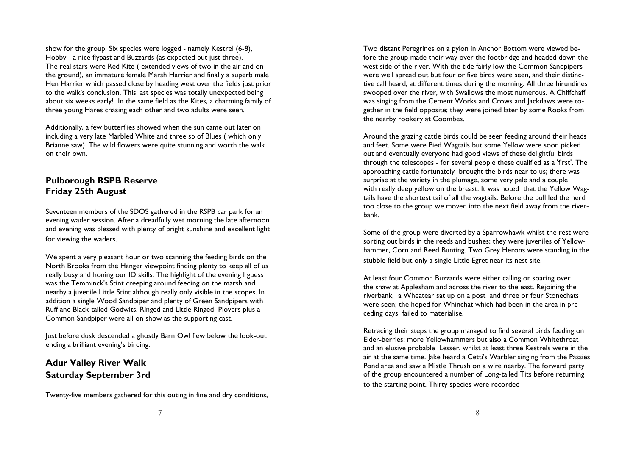show for the group. Six species were logged - namely Kestrel (6-8), Hobby - a nice flypast and Buzzards (as expected but just three). The real stars were Red Kite ( extended views of two in the air and on the ground), an immature female Marsh Harrier and finally a superb male Hen Harrier which passed close by heading west over the fields just prior to the walk's conclusion. This last species was totally unexpected being about six weeks early! In the same field as the Kites, a charming family of three young Hares chasing each other and two adults were seen.

Additionally, a few butterflies showed when the sun came out later on including a very late Marbled White and three sp of Blues ( which only Brianne saw). The wild flowers were quite stunning and worth the walk on their own.

### Pulborough RSPB Reserve Friday 25th August

Seventeen members of the SDOS gathered in the RSPB car park for an evening wader session. After a dreadfully wet morning the late afternoon and evening was blessed with plenty of bright sunshine and excellent light for viewing the waders.

We spent a very pleasant hour or two scanning the feeding birds on the North Brooks from the Hanger viewpoint finding plenty to keep all of us really busy and honing our ID skills. The highlight of the evening I guess was the Temminck's Stint creeping around feeding on the marsh and nearby a juvenile Little Stint although really only visible in the scopes. In addition a single Wood Sandpiper and plenty of Green Sandpipers with Ruff and Black-tailed Godwits. Ringed and Little Ringed Plovers plus a Common Sandpiper were all on show as the supporting cast.

Just before dusk descended a ghostly Barn Owl flew below the look-out ending a brilliant evening's birding.

### Adur Valley River Walk Saturday September 3rd

Twenty-five members gathered for this outing in fine and dry conditions,

Two distant Peregrines on a pylon in Anchor Bottom were viewed before the group made their way over the footbridge and headed down the west side of the river. With the tide fairly low the Common Sandpipers were well spread out but four or five birds were seen, and their distinctive call heard, at different times during the morning. All three hirundines swooped over the river, with Swallows the most numerous. A Chiffchaff was singing from the Cement Works and Crows and Jackdaws were together in the field opposite; they were joined later by some Rooks from the nearby rookery at Coombes.

Around the grazing cattle birds could be seen feeding around their heads and feet. Some were Pied Wagtails but some Yellow were soon picked out and eventually everyone had good views of these delightful birds through the telescopes - for several people these qualified as a 'first'. The approaching cattle fortunately brought the birds near to us; there was surprise at the variety in the plumage, some very pale and a couple with really deep yellow on the breast. It was noted that the Yellow Wagtails have the shortest tail of all the wagtails. Before the bull led the herd too close to the group we moved into the next field away from the riverbank.

Some of the group were diverted by a Sparrowhawk whilst the rest were sorting out birds in the reeds and bushes; they were juveniles of Yellowhammer, Corn and Reed Bunting. Two Grey Herons were standing in the stubble field but only a single Little Egret near its nest site.

At least four Common Buzzards were either calling or soaring over the shaw at Applesham and across the river to the east. Rejoining the riverbank, a Wheatear sat up on a post and three or four Stonechats were seen; the hoped for Whinchat which had been in the area in preceding days failed to materialise.

Retracing their steps the group managed to find several birds feeding on Elder-berries; more Yellowhammers but also a Common Whitethroat and an elusive probable Lesser, whilst at least three Kestrels were in the air at the same time. Jake heard a Cetti's Warbler singing from the Passies Pond area and saw a Mistle Thrush on a wire nearby. The forward party of the group encountered a number of Long-tailed Tits before returning to the starting point. Thirty species were recorded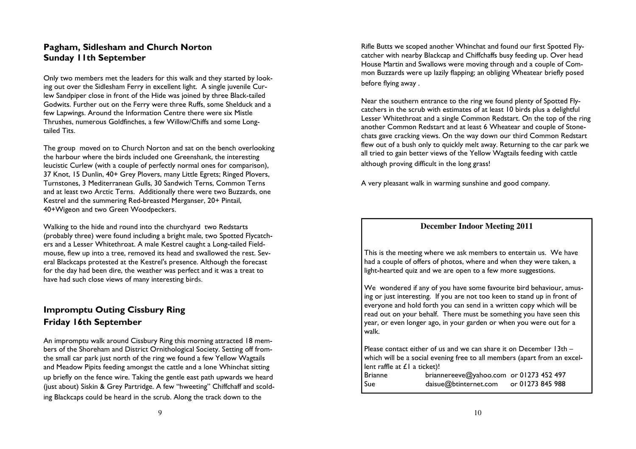### Pagham, Sidlesham and Church Norton Sunday 11th September

Only two members met the leaders for this walk and they started by looking out over the Sidlesham Ferry in excellent light. A single juvenile Curlew Sandpiper close in front of the Hide was joined by three Black-tailed Godwits. Further out on the Ferry were three Ruffs, some Shelduck and a few Lapwings. Around the Information Centre there were six Mistle Thrushes, numerous Goldfinches, a few Willow/Chiffs and some Longtailed Tits.

The group moved on to Church Norton and sat on the bench overlooking the harbour where the birds included one Greenshank, the interesting leucistic Curlew (with a couple of perfectly normal ones for comparison), 37 Knot, 15 Dunlin, 40+ Grey Plovers, many Little Egrets; Ringed Plovers, Turnstones, 3 Mediterranean Gulls, 30 Sandwich Terns, Common Terns and at least two Arctic Terns. Additionally there were two Buzzards, one Kestrel and the summering Red-breasted Merganser, 20+ Pintail, 40+Wigeon and two Green Woodpeckers.

Walking to the hide and round into the churchyard two Redstarts (probably three) were found including a bright male, two Spotted Flycatchers and a Lesser Whitethroat. A male Kestrel caught a Long-tailed Fieldmouse, flew up into a tree, removed its head and swallowed the rest. Several Blackcaps protested at the Kestrel's presence. Although the forecast for the day had been dire, the weather was perfect and it was a treat to have had such close views of many interesting birds.

### Impromptu Outing Cissbury Ring Friday 16th September

An impromptu walk around Cissbury Ring this morning attracted 18 members of the Shoreham and District Ornithological Society. Setting off fromthe small car park just north of the ring we found a few Yellow Wagtails and Meadow Pipits feeding amongst the cattle and a lone Whinchat sitting up briefly on the fence wire. Taking the gentle east path upwards we heard (just about) Siskin & Grey Partridge. A few "hweeting" Chiffchaff and scolding Blackcaps could be heard in the scrub. Along the track down to the

Rifle Butts we scoped another Whinchat and found our first Spotted Flycatcher with nearby Blackcap and Chiffchaffs busy feeding up. Over head House Martin and Swallows were moving through and a couple of Common Buzzards were up lazily flapping; an obliging Wheatear briefly posed before flying away .

Near the southern entrance to the ring we found plenty of Spotted Flycatchers in the scrub with estimates of at least 10 birds plus a delightful Lesser Whitethroat and a single Common Redstart. On the top of the ring another Common Redstart and at least 6 Wheatear and couple of Stonechats gave cracking views. On the way down our third Common Redstart flew out of a bush only to quickly melt away. Returning to the car park we all tried to gain better views of the Yellow Wagtails feeding with cattle although proving difficult in the long grass!

A very pleasant walk in warming sunshine and good company.

#### **December Indoor Meeting 2011**

This is the meeting where we ask members to entertain us. We have had a couple of offers of photos, where and when they were taken, a light-hearted quiz and we are open to a few more suggestions.

We wondered if any of you have some favourite bird behaviour, amusing or just interesting. If you are not too keen to stand up in front of everyone and hold forth you can send in a written copy which will be read out on your behalf. There must be something you have seen this year, or even longer ago, in your garden or when you were out for a walk.

Please contact either of us and we can share it on December 13th – which will be a social evening free to all members (apart from an excellent raffle at £1 a ticket)!

 Brianne briannereeve@yahoo.com or 01273 452 497 Sue daisue@btinternet.com or 01273 845 988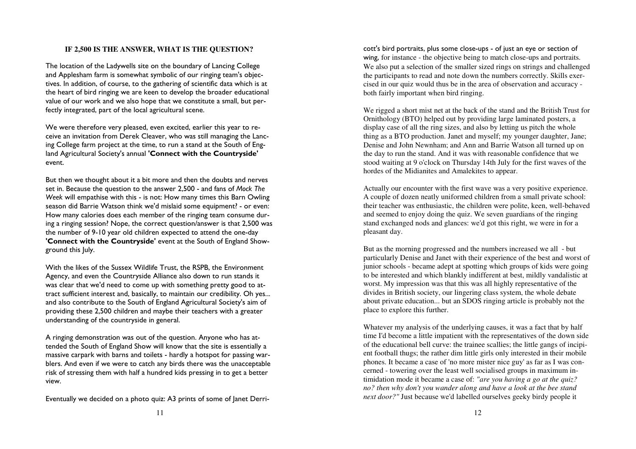#### **IF 2,500 IS THE ANSWER, WHAT IS THE QUESTION?**

The location of the Ladywells site on the boundary of Lancing College and Applesham farm is somewhat symbolic of our ringing team's objectives. In addition, of course, to the gathering of scientific data which is at the heart of bird ringing we are keen to develop the broader educational value of our work and we also hope that we constitute a small, but perfectly integrated, part of the local agricultural scene.

We were therefore very pleased, even excited, earlier this year to receive an invitation from Derek Cleaver, who was still managing the Lancing College farm project at the time, to run a stand at the South of England Agricultural Society's annual 'Connect with the Countryside' event.

But then we thought about it a bit more and then the doubts and nerves set in. Because the question to the answer 2,500 - and fans of Mock The Week will empathise with this - is not: How many times this Barn Owling season did Barrie Watson think we'd mislaid some equipment? - or even: How many calories does each member of the ringing team consume during a ringing session? Nope, the correct question/answer is that 2,500 was the number of 9-10 year old children expected to attend the one-day 'Connect with the Countryside' event at the South of England Showground this July.

With the likes of the Sussex Wildlife Trust, the RSPB, the Environment Agency, and even the Countryside Alliance also down to run stands it was clear that we'd need to come up with something pretty good to attract sufficient interest and, basically, to maintain our credibility. Oh yes... and also contribute to the South of England Agricultural Society's aim of providing these 2,500 children and maybe their teachers with a greater understanding of the countryside in general.

A ringing demonstration was out of the question. Anyone who has attended the South of England Show will know that the site is essentially a massive carpark with barns and toilets - hardly a hotspot for passing warblers. And even if we were to catch any birds there was the unacceptable risk of stressing them with half a hundred kids pressing in to get a better view.

Eventually we decided on a photo quiz: A3 prints of some of Janet Derri-

cott's bird portraits, plus some close-ups - of just an eye or section of wing, for instance - the objective being to match close-ups and portraits. We also put a selection of the smaller sized rings on strings and challenged the participants to read and note down the numbers correctly. Skills exercised in our quiz would thus be in the area of observation and accuracy both fairly important when bird ringing.

We rigged a short mist net at the back of the stand and the British Trust for Ornithology (BTO) helped out by providing large laminated posters, a display case of all the ring sizes, and also by letting us pitch the whole thing as a BTO production. Janet and myself; my younger daughter, Jane; Denise and John Newnham; and Ann and Barrie Watson all turned up on the day to run the stand. And it was with reasonable confidence that we stood waiting at 9 o'clock on Thursday 14th July for the first waves of the hordes of the Midianites and Amalekites to appear.

Actually our encounter with the first wave was a very positive experience. A couple of dozen neatly uniformed children from a small private school: their teacher was enthusiastic, the children were polite, keen, well-behaved and seemed to enjoy doing the quiz. We seven guardians of the ringing stand exchanged nods and glances: we'd got this right, we were in for a pleasant day.

But as the morning progressed and the numbers increased we all - but particularly Denise and Janet with their experience of the best and worst of junior schools - became adept at spotting which groups of kids were going to be interested and which blankly indifferent at best, mildly vandalistic at worst. My impression was that this was all highly representative of the divides in British society, our lingering class system, the whole debate about private education... but an SDOS ringing article is probably not the place to explore this further.

Whatever my analysis of the underlying causes, it was a fact that by half time I'd become a little impatient with the representatives of the down side of the educational bell curve: the trainee scallies; the little gangs of incipient football thugs; the rather dim little girls only interested in their mobile phones. It became a case of 'no more mister nice guy' as far as I was concerned - towering over the least well socialised groups in maximum intimidation mode it became a case of: *"are you having a go at the quiz? no? then why don't you wander along and have a look at the bee stand next door?"* Just because we'd labelled ourselves geeky birdy people it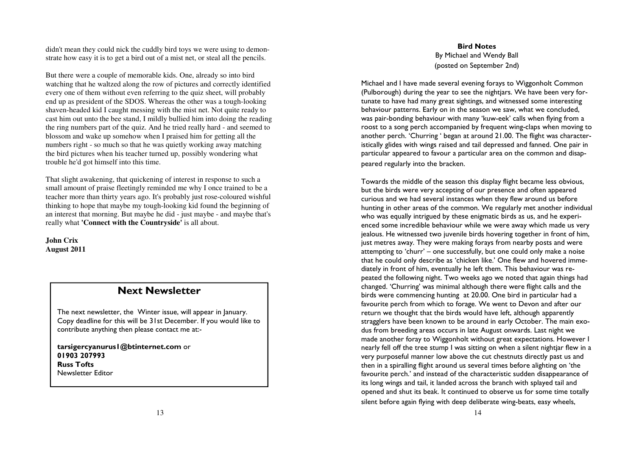didn't mean they could nick the cuddly bird toys we were using to demonstrate how easy it is to get a bird out of a mist net, or steal all the pencils.

But there were a couple of memorable kids. One, already so into bird watching that he waltzed along the row of pictures and correctly identified every one of them without even referring to the quiz sheet, will probably end up as president of the SDOS. Whereas the other was a tough-looking shaven-headed kid I caught messing with the mist net. Not quite ready to cast him out unto the bee stand, I mildly bullied him into doing the reading the ring numbers part of the quiz. And he tried really hard - and seemed to blossom and wake up somehow when I praised him for getting all the numbers right - so much so that he was quietly working away matching the bird pictures when his teacher turned up, possibly wondering what trouble he'd got himself into this time.

That slight awakening, that quickening of interest in response to such a small amount of praise fleetingly reminded me why I once trained to be a teacher more than thirty years ago. It's probably just rose-coloured wishful thinking to hope that maybe my tough-looking kid found the beginning of an interest that morning. But maybe he did - just maybe - and maybe that's really what **'Connect with the Countryside'** is all about.

**John Crix August 2011**

### Next Newsletter

The next newsletter, the Winter issue, will appear in January. Copy deadline for this will be 31st December. If you would like to contribute anything then please contact me at:-

tarsigercyanurus1@btinternet.com or 01903 207993 Russ Tofts Newsletter Editor

Bird Notes By Michael and Wendy Ball (posted on September 2nd)

Michael and I have made several evening forays to Wiggonholt Common (Pulborough) during the year to see the nightjars. We have been very fortunate to have had many great sightings, and witnessed some interesting behaviour patterns. Early on in the season we saw, what we concluded, was pair-bonding behaviour with many 'kuw-eek' calls when flying from a roost to a song perch accompanied by frequent wing-claps when moving to another perch. 'Churring ' began at around 21.00. The flight was characteristically glides with wings raised and tail depressed and fanned. One pair in particular appeared to favour a particular area on the common and disappeared regularly into the bracken.

Towards the middle of the season this display flight became less obvious, but the birds were very accepting of our presence and often appeared curious and we had several instances when they flew around us before hunting in other areas of the common. We regularly met another individual who was equally intrigued by these enigmatic birds as us, and he experienced some incredible behaviour while we were away which made us very jealous. He witnessed two juvenile birds hovering together in front of him, just metres away. They were making forays from nearby posts and were attempting to 'churr' – one successfully, but one could only make a noise that he could only describe as 'chicken like.' One flew and hovered immediately in front of him, eventually he left them. This behaviour was repeated the following night. Two weeks ago we noted that again things had changed. 'Churring' was minimal although there were flight calls and the birds were commencing hunting at 20.00. One bird in particular had a favourite perch from which to forage. We went to Devon and after our return we thought that the birds would have left, although apparently stragglers have been known to be around in early October. The main exodus from breeding areas occurs in late August onwards. Last night we made another foray to Wiggonholt without great expectations. However I nearly fell off the tree stump I was sitting on when a silent nightjar flew in a very purposeful manner low above the cut chestnuts directly past us and then in a spiralling flight around us several times before alighting on 'the favourite perch.' and instead of the characteristic sudden disappearance of its long wings and tail, it landed across the branch with splayed tail and opened and shut its beak. It continued to observe us for some time totally silent before again flying with deep deliberate wing-beats, easy wheels,